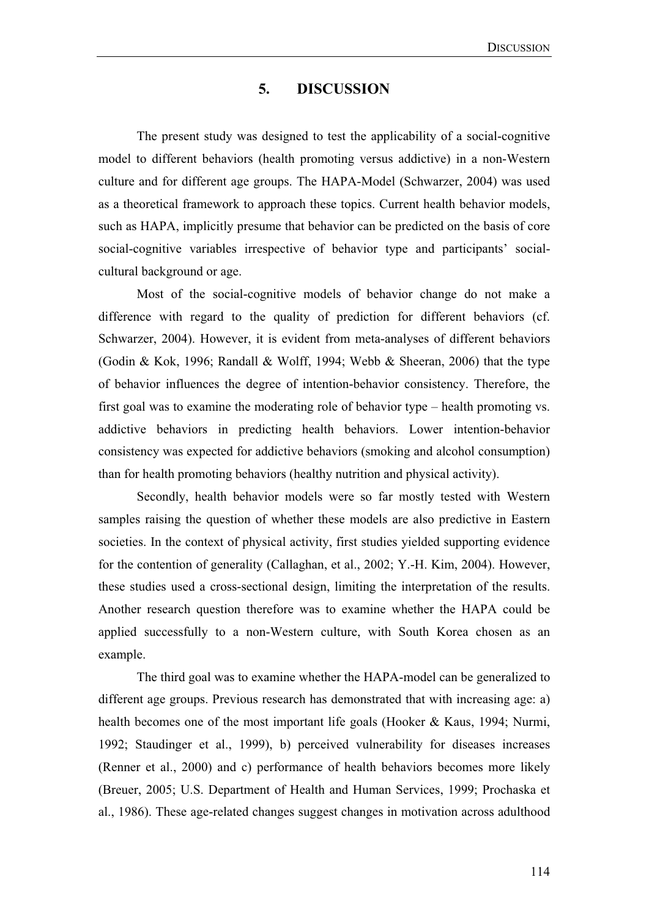### **5. DISCUSSION**

 The present study was designed to test the applicability of a social-cognitive model to different behaviors (health promoting versus addictive) in a non-Western culture and for different age groups. The HAPA-Model (Schwarzer, 2004) was used as a theoretical framework to approach these topics. Current health behavior models, such as HAPA, implicitly presume that behavior can be predicted on the basis of core social-cognitive variables irrespective of behavior type and participants' socialcultural background or age.

Most of the social-cognitive models of behavior change do not make a difference with regard to the quality of prediction for different behaviors (cf. Schwarzer, 2004). However, it is evident from meta-analyses of different behaviors (Godin & Kok, 1996; Randall & Wolff, 1994; Webb & Sheeran, 2006) that the type of behavior influences the degree of intention-behavior consistency. Therefore, the first goal was to examine the moderating role of behavior type – health promoting vs. addictive behaviors in predicting health behaviors. Lower intention-behavior consistency was expected for addictive behaviors (smoking and alcohol consumption) than for health promoting behaviors (healthy nutrition and physical activity).

Secondly, health behavior models were so far mostly tested with Western samples raising the question of whether these models are also predictive in Eastern societies. In the context of physical activity, first studies yielded supporting evidence for the contention of generality (Callaghan, et al., 2002; Y.-H. Kim, 2004). However, these studies used a cross-sectional design, limiting the interpretation of the results. Another research question therefore was to examine whether the HAPA could be applied successfully to a non-Western culture, with South Korea chosen as an example.

The third goal was to examine whether the HAPA-model can be generalized to different age groups. Previous research has demonstrated that with increasing age: a) health becomes one of the most important life goals (Hooker & Kaus, 1994; Nurmi, 1992; Staudinger et al., 1999), b) perceived vulnerability for diseases increases (Renner et al., 2000) and c) performance of health behaviors becomes more likely (Breuer, 2005; U.S. Department of Health and Human Services, 1999; Prochaska et al., 1986). These age-related changes suggest changes in motivation across adulthood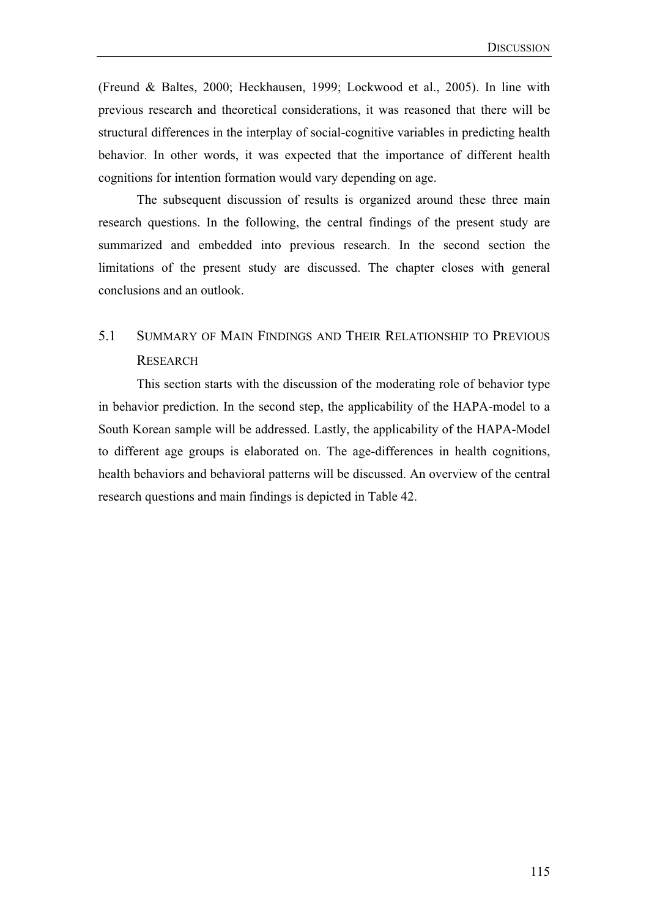(Freund & Baltes, 2000; Heckhausen, 1999; Lockwood et al., 2005). In line with previous research and theoretical considerations, it was reasoned that there will be structural differences in the interplay of social-cognitive variables in predicting health behavior. In other words, it was expected that the importance of different health cognitions for intention formation would vary depending on age.

The subsequent discussion of results is organized around these three main research questions. In the following, the central findings of the present study are summarized and embedded into previous research. In the second section the limitations of the present study are discussed. The chapter closes with general conclusions and an outlook.

# 5.1 SUMMARY OF MAIN FINDINGS AND THEIR RELATIONSHIP TO PREVIOUS **RESEARCH**

This section starts with the discussion of the moderating role of behavior type in behavior prediction. In the second step, the applicability of the HAPA-model to a South Korean sample will be addressed. Lastly, the applicability of the HAPA-Model to different age groups is elaborated on. The age-differences in health cognitions, health behaviors and behavioral patterns will be discussed. An overview of the central research questions and main findings is depicted in Table 42.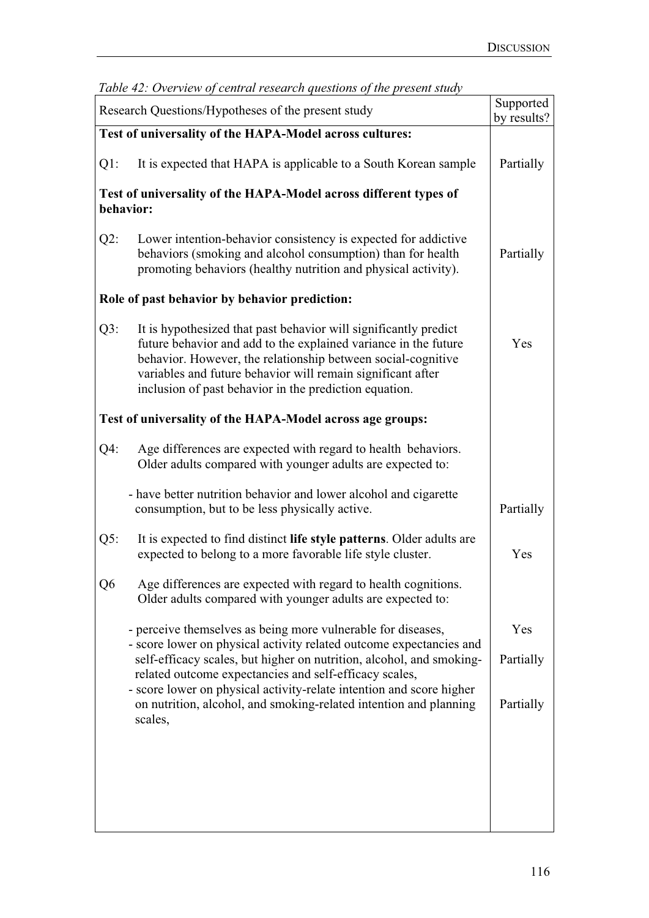| racio 12. Overview of central research questions of the present stata,<br>Research Questions/Hypotheses of the present study |                                                                                                                                                                                                                                                                                                                              |           |  |  |  |
|------------------------------------------------------------------------------------------------------------------------------|------------------------------------------------------------------------------------------------------------------------------------------------------------------------------------------------------------------------------------------------------------------------------------------------------------------------------|-----------|--|--|--|
| Test of universality of the HAPA-Model across cultures:                                                                      |                                                                                                                                                                                                                                                                                                                              |           |  |  |  |
| $Q1$ :                                                                                                                       | It is expected that HAPA is applicable to a South Korean sample                                                                                                                                                                                                                                                              | Partially |  |  |  |
| Test of universality of the HAPA-Model across different types of<br>behavior:                                                |                                                                                                                                                                                                                                                                                                                              |           |  |  |  |
| $Q2$ :                                                                                                                       | Lower intention-behavior consistency is expected for addictive<br>behaviors (smoking and alcohol consumption) than for health<br>promoting behaviors (healthy nutrition and physical activity).                                                                                                                              | Partially |  |  |  |
| Role of past behavior by behavior prediction:                                                                                |                                                                                                                                                                                                                                                                                                                              |           |  |  |  |
| Q3:                                                                                                                          | It is hypothesized that past behavior will significantly predict<br>future behavior and add to the explained variance in the future<br>behavior. However, the relationship between social-cognitive<br>variables and future behavior will remain significant after<br>inclusion of past behavior in the prediction equation. | Yes       |  |  |  |
| Test of universality of the HAPA-Model across age groups:                                                                    |                                                                                                                                                                                                                                                                                                                              |           |  |  |  |
| $Q4$ :                                                                                                                       | Age differences are expected with regard to health behaviors.<br>Older adults compared with younger adults are expected to:                                                                                                                                                                                                  |           |  |  |  |
|                                                                                                                              | - have better nutrition behavior and lower alcohol and cigarette<br>consumption, but to be less physically active.                                                                                                                                                                                                           | Partially |  |  |  |
| Q5:                                                                                                                          | It is expected to find distinct life style patterns. Older adults are<br>expected to belong to a more favorable life style cluster.                                                                                                                                                                                          | Yes       |  |  |  |
| Q6                                                                                                                           | Age differences are expected with regard to health cognitions.<br>Older adults compared with younger adults are expected to:                                                                                                                                                                                                 |           |  |  |  |
|                                                                                                                              | - perceive themselves as being more vulnerable for diseases,                                                                                                                                                                                                                                                                 | Yes       |  |  |  |
|                                                                                                                              | - score lower on physical activity related outcome expectancies and<br>self-efficacy scales, but higher on nutrition, alcohol, and smoking-<br>related outcome expectancies and self-efficacy scales,                                                                                                                        | Partially |  |  |  |
|                                                                                                                              | - score lower on physical activity-relate intention and score higher<br>on nutrition, alcohol, and smoking-related intention and planning<br>scales,                                                                                                                                                                         | Partially |  |  |  |
|                                                                                                                              |                                                                                                                                                                                                                                                                                                                              |           |  |  |  |
|                                                                                                                              |                                                                                                                                                                                                                                                                                                                              |           |  |  |  |
|                                                                                                                              |                                                                                                                                                                                                                                                                                                                              |           |  |  |  |
|                                                                                                                              |                                                                                                                                                                                                                                                                                                                              |           |  |  |  |

|  |  |  | Table 42: Overview of central research questions of the present study |
|--|--|--|-----------------------------------------------------------------------|
|  |  |  |                                                                       |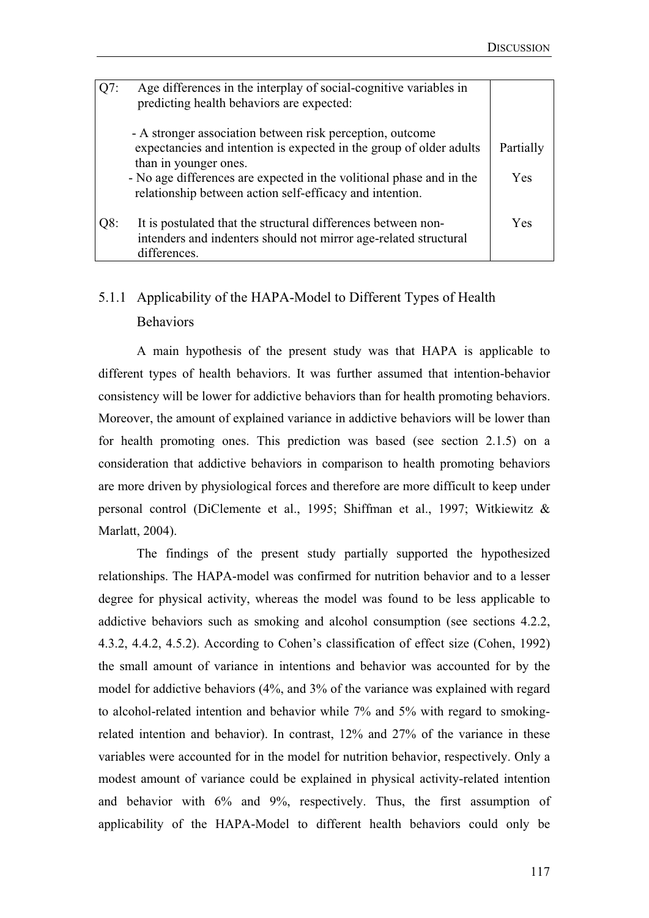| O7: | Age differences in the interplay of social-cognitive variables in<br>predicting health behaviors are expected:                                                                                                                                                                                |                  |
|-----|-----------------------------------------------------------------------------------------------------------------------------------------------------------------------------------------------------------------------------------------------------------------------------------------------|------------------|
|     | - A stronger association between risk perception, outcome<br>expectancies and intention is expected in the group of older adults<br>than in younger ones.<br>- No age differences are expected in the volitional phase and in the<br>relationship between action self-efficacy and intention. | Partially<br>Yes |
| Q8: | It is postulated that the structural differences between non-<br>intenders and indenters should not mirror age-related structural<br>differences.                                                                                                                                             | Yes              |

# 5.1.1 Applicability of the HAPA-Model to Different Types of Health Behaviors

 A main hypothesis of the present study was that HAPA is applicable to different types of health behaviors. It was further assumed that intention-behavior consistency will be lower for addictive behaviors than for health promoting behaviors. Moreover, the amount of explained variance in addictive behaviors will be lower than for health promoting ones. This prediction was based (see section 2.1.5) on a consideration that addictive behaviors in comparison to health promoting behaviors are more driven by physiological forces and therefore are more difficult to keep under personal control (DiClemente et al., 1995; Shiffman et al., 1997; Witkiewitz & Marlatt, 2004).

The findings of the present study partially supported the hypothesized relationships. The HAPA-model was confirmed for nutrition behavior and to a lesser degree for physical activity, whereas the model was found to be less applicable to addictive behaviors such as smoking and alcohol consumption (see sections 4.2.2, 4.3.2, 4.4.2, 4.5.2). According to Cohen's classification of effect size (Cohen, 1992) the small amount of variance in intentions and behavior was accounted for by the model for addictive behaviors (4%, and 3% of the variance was explained with regard to alcohol-related intention and behavior while 7% and 5% with regard to smokingrelated intention and behavior). In contrast, 12% and 27% of the variance in these variables were accounted for in the model for nutrition behavior, respectively. Only a modest amount of variance could be explained in physical activity-related intention and behavior with 6% and 9%, respectively. Thus, the first assumption of applicability of the HAPA-Model to different health behaviors could only be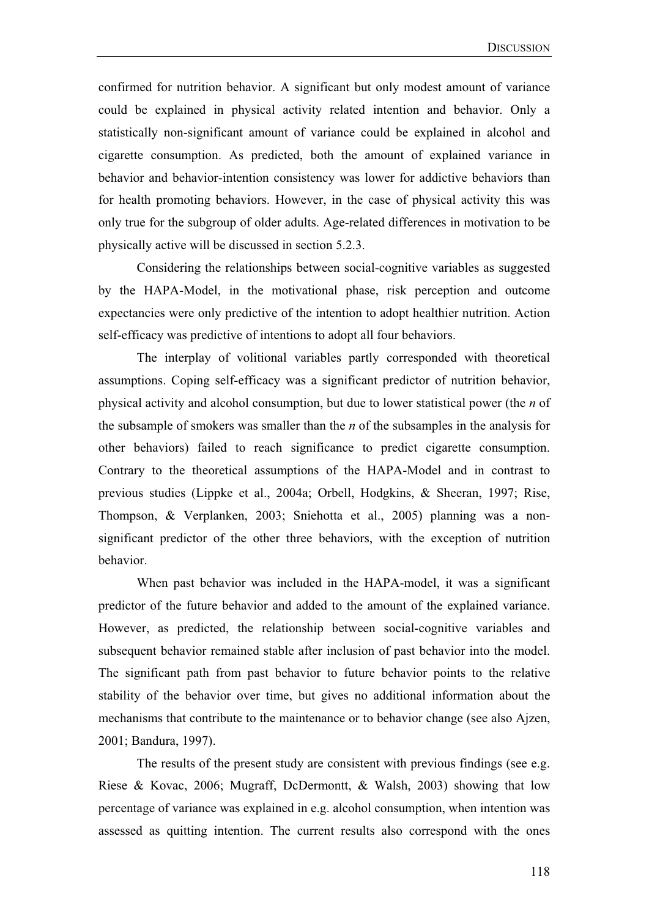confirmed for nutrition behavior. A significant but only modest amount of variance could be explained in physical activity related intention and behavior. Only a statistically non-significant amount of variance could be explained in alcohol and cigarette consumption. As predicted, both the amount of explained variance in behavior and behavior-intention consistency was lower for addictive behaviors than for health promoting behaviors. However, in the case of physical activity this was only true for the subgroup of older adults. Age-related differences in motivation to be physically active will be discussed in section 5.2.3.

Considering the relationships between social-cognitive variables as suggested by the HAPA-Model, in the motivational phase, risk perception and outcome expectancies were only predictive of the intention to adopt healthier nutrition. Action self-efficacy was predictive of intentions to adopt all four behaviors.

The interplay of volitional variables partly corresponded with theoretical assumptions. Coping self-efficacy was a significant predictor of nutrition behavior, physical activity and alcohol consumption, but due to lower statistical power (the *n* of the subsample of smokers was smaller than the *n* of the subsamples in the analysis for other behaviors) failed to reach significance to predict cigarette consumption. Contrary to the theoretical assumptions of the HAPA-Model and in contrast to previous studies (Lippke et al., 2004a; Orbell, Hodgkins, & Sheeran, 1997; Rise, Thompson, & Verplanken, 2003; Sniehotta et al., 2005) planning was a nonsignificant predictor of the other three behaviors, with the exception of nutrition behavior.

When past behavior was included in the HAPA-model, it was a significant predictor of the future behavior and added to the amount of the explained variance. However, as predicted, the relationship between social-cognitive variables and subsequent behavior remained stable after inclusion of past behavior into the model. The significant path from past behavior to future behavior points to the relative stability of the behavior over time, but gives no additional information about the mechanisms that contribute to the maintenance or to behavior change (see also Ajzen, 2001; Bandura, 1997).

The results of the present study are consistent with previous findings (see e.g. Riese & Kovac, 2006; Mugraff, DcDermontt, & Walsh, 2003) showing that low percentage of variance was explained in e.g. alcohol consumption, when intention was assessed as quitting intention. The current results also correspond with the ones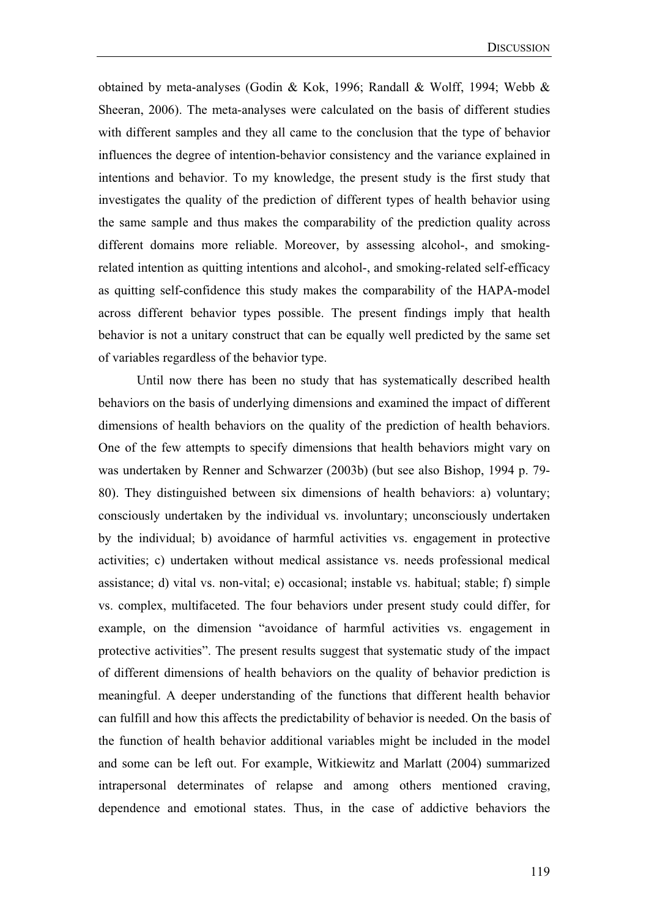obtained by meta-analyses (Godin & Kok, 1996; Randall & Wolff, 1994; Webb & Sheeran, 2006). The meta-analyses were calculated on the basis of different studies with different samples and they all came to the conclusion that the type of behavior influences the degree of intention-behavior consistency and the variance explained in intentions and behavior. To my knowledge, the present study is the first study that investigates the quality of the prediction of different types of health behavior using the same sample and thus makes the comparability of the prediction quality across different domains more reliable. Moreover, by assessing alcohol-, and smokingrelated intention as quitting intentions and alcohol-, and smoking-related self-efficacy as quitting self-confidence this study makes the comparability of the HAPA-model across different behavior types possible. The present findings imply that health behavior is not a unitary construct that can be equally well predicted by the same set of variables regardless of the behavior type.

Until now there has been no study that has systematically described health behaviors on the basis of underlying dimensions and examined the impact of different dimensions of health behaviors on the quality of the prediction of health behaviors. One of the few attempts to specify dimensions that health behaviors might vary on was undertaken by Renner and Schwarzer (2003b) (but see also Bishop, 1994 p. 79- 80). They distinguished between six dimensions of health behaviors: a) voluntary; consciously undertaken by the individual vs. involuntary; unconsciously undertaken by the individual; b) avoidance of harmful activities vs. engagement in protective activities; c) undertaken without medical assistance vs. needs professional medical assistance; d) vital vs. non-vital; e) occasional; instable vs. habitual; stable; f) simple vs. complex, multifaceted. The four behaviors under present study could differ, for example, on the dimension "avoidance of harmful activities vs. engagement in protective activities". The present results suggest that systematic study of the impact of different dimensions of health behaviors on the quality of behavior prediction is meaningful. A deeper understanding of the functions that different health behavior can fulfill and how this affects the predictability of behavior is needed. On the basis of the function of health behavior additional variables might be included in the model and some can be left out. For example, Witkiewitz and Marlatt (2004) summarized intrapersonal determinates of relapse and among others mentioned craving, dependence and emotional states. Thus, in the case of addictive behaviors the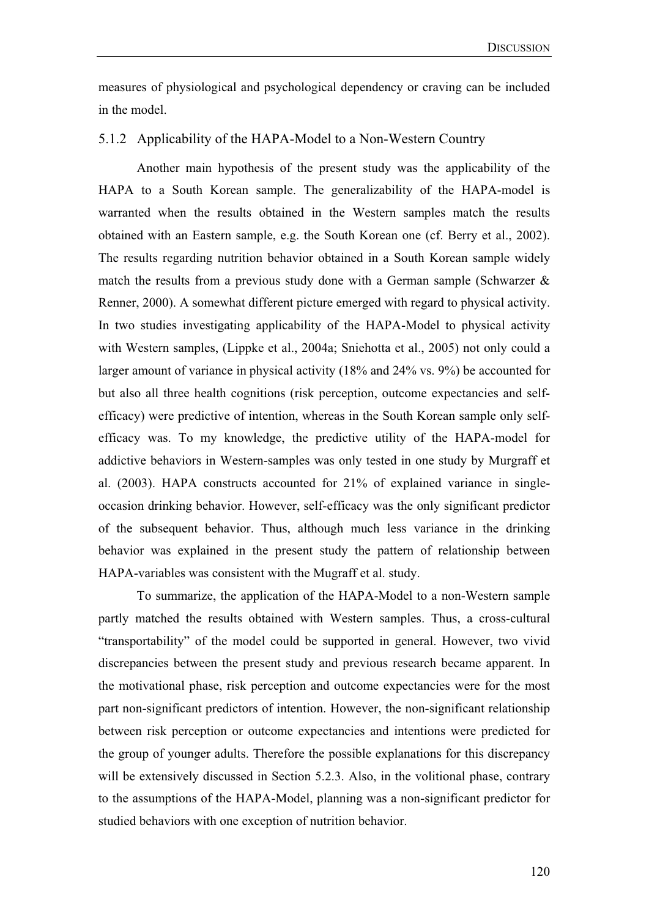measures of physiological and psychological dependency or craving can be included in the model.

## 5.1.2 Applicability of the HAPA-Model to a Non-Western Country

Another main hypothesis of the present study was the applicability of the HAPA to a South Korean sample. The generalizability of the HAPA-model is warranted when the results obtained in the Western samples match the results obtained with an Eastern sample, e.g. the South Korean one (cf. Berry et al., 2002). The results regarding nutrition behavior obtained in a South Korean sample widely match the results from a previous study done with a German sample (Schwarzer  $\&$ Renner, 2000). A somewhat different picture emerged with regard to physical activity. In two studies investigating applicability of the HAPA-Model to physical activity with Western samples, (Lippke et al., 2004a; Sniehotta et al., 2005) not only could a larger amount of variance in physical activity (18% and 24% vs. 9%) be accounted for but also all three health cognitions (risk perception, outcome expectancies and selfefficacy) were predictive of intention, whereas in the South Korean sample only selfefficacy was. To my knowledge, the predictive utility of the HAPA-model for addictive behaviors in Western-samples was only tested in one study by Murgraff et al. (2003). HAPA constructs accounted for 21% of explained variance in singleoccasion drinking behavior. However, self-efficacy was the only significant predictor of the subsequent behavior. Thus, although much less variance in the drinking behavior was explained in the present study the pattern of relationship between HAPA-variables was consistent with the Mugraff et al. study.

To summarize, the application of the HAPA-Model to a non-Western sample partly matched the results obtained with Western samples. Thus, a cross-cultural "transportability" of the model could be supported in general. However, two vivid discrepancies between the present study and previous research became apparent. In the motivational phase, risk perception and outcome expectancies were for the most part non-significant predictors of intention. However, the non-significant relationship between risk perception or outcome expectancies and intentions were predicted for the group of younger adults. Therefore the possible explanations for this discrepancy will be extensively discussed in Section 5.2.3. Also, in the volitional phase, contrary to the assumptions of the HAPA-Model, planning was a non-significant predictor for studied behaviors with one exception of nutrition behavior.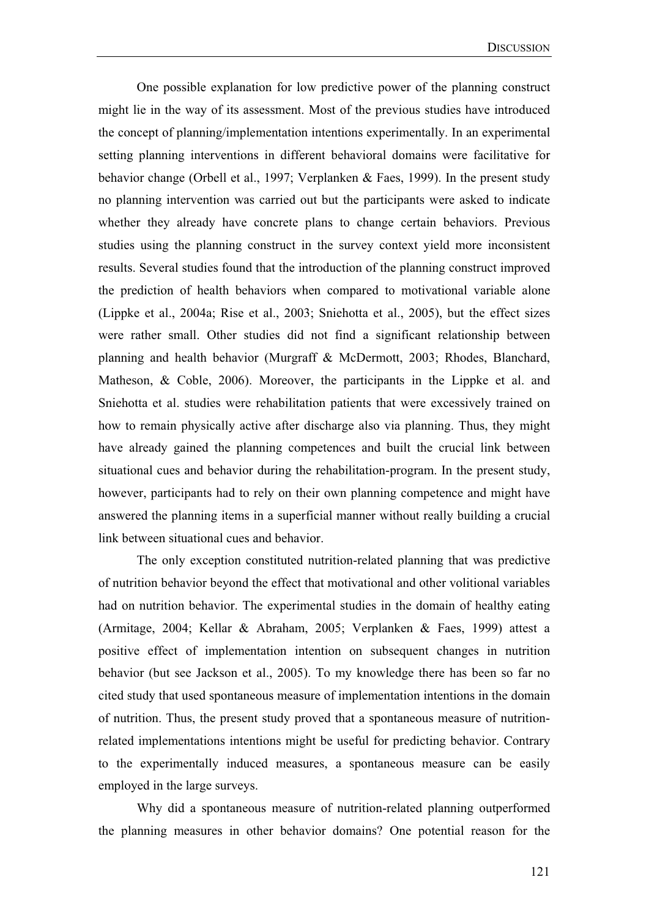One possible explanation for low predictive power of the planning construct might lie in the way of its assessment. Most of the previous studies have introduced the concept of planning/implementation intentions experimentally. In an experimental setting planning interventions in different behavioral domains were facilitative for behavior change (Orbell et al., 1997; Verplanken & Faes, 1999). In the present study no planning intervention was carried out but the participants were asked to indicate whether they already have concrete plans to change certain behaviors. Previous studies using the planning construct in the survey context yield more inconsistent results. Several studies found that the introduction of the planning construct improved the prediction of health behaviors when compared to motivational variable alone (Lippke et al., 2004a; Rise et al., 2003; Sniehotta et al., 2005), but the effect sizes were rather small. Other studies did not find a significant relationship between planning and health behavior (Murgraff & McDermott, 2003; Rhodes, Blanchard, Matheson, & Coble, 2006). Moreover, the participants in the Lippke et al. and Sniehotta et al. studies were rehabilitation patients that were excessively trained on how to remain physically active after discharge also via planning. Thus, they might have already gained the planning competences and built the crucial link between situational cues and behavior during the rehabilitation-program. In the present study, however, participants had to rely on their own planning competence and might have answered the planning items in a superficial manner without really building a crucial link between situational cues and behavior.

The only exception constituted nutrition-related planning that was predictive of nutrition behavior beyond the effect that motivational and other volitional variables had on nutrition behavior. The experimental studies in the domain of healthy eating (Armitage, 2004; Kellar & Abraham, 2005; Verplanken & Faes, 1999) attest a positive effect of implementation intention on subsequent changes in nutrition behavior (but see Jackson et al., 2005). To my knowledge there has been so far no cited study that used spontaneous measure of implementation intentions in the domain of nutrition. Thus, the present study proved that a spontaneous measure of nutritionrelated implementations intentions might be useful for predicting behavior. Contrary to the experimentally induced measures, a spontaneous measure can be easily employed in the large surveys.

Why did a spontaneous measure of nutrition-related planning outperformed the planning measures in other behavior domains? One potential reason for the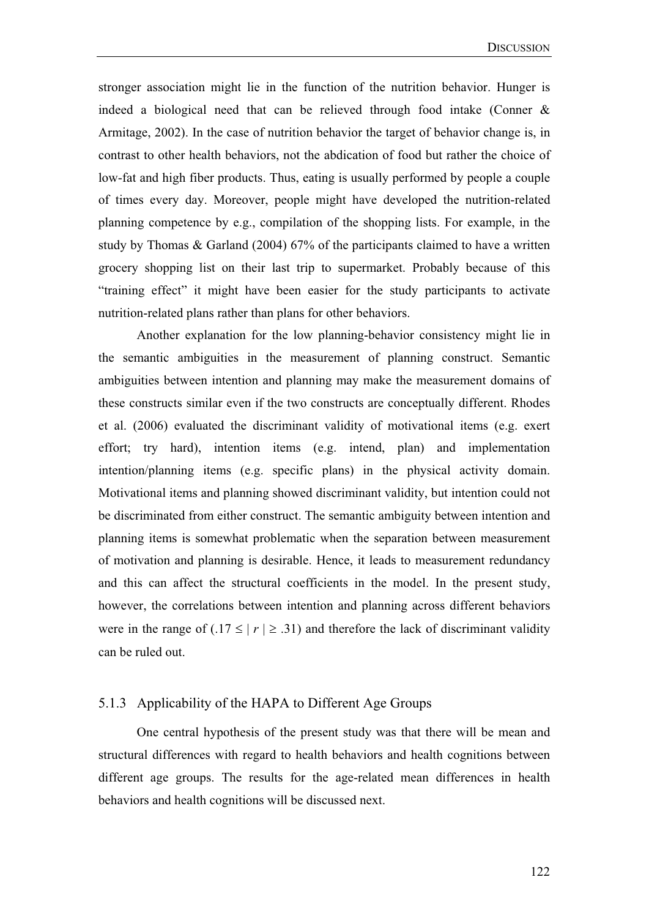stronger association might lie in the function of the nutrition behavior. Hunger is indeed a biological need that can be relieved through food intake (Conner & Armitage, 2002). In the case of nutrition behavior the target of behavior change is, in contrast to other health behaviors, not the abdication of food but rather the choice of low-fat and high fiber products. Thus, eating is usually performed by people a couple of times every day. Moreover, people might have developed the nutrition-related planning competence by e.g., compilation of the shopping lists. For example, in the study by Thomas & Garland (2004) 67% of the participants claimed to have a written grocery shopping list on their last trip to supermarket. Probably because of this "training effect" it might have been easier for the study participants to activate nutrition-related plans rather than plans for other behaviors.

Another explanation for the low planning-behavior consistency might lie in the semantic ambiguities in the measurement of planning construct. Semantic ambiguities between intention and planning may make the measurement domains of these constructs similar even if the two constructs are conceptually different. Rhodes et al. (2006) evaluated the discriminant validity of motivational items (e.g. exert effort; try hard), intention items (e.g. intend, plan) and implementation intention/planning items (e.g. specific plans) in the physical activity domain. Motivational items and planning showed discriminant validity, but intention could not be discriminated from either construct. The semantic ambiguity between intention and planning items is somewhat problematic when the separation between measurement of motivation and planning is desirable. Hence, it leads to measurement redundancy and this can affect the structural coefficients in the model. In the present study, however, the correlations between intention and planning across different behaviors were in the range of  $(.17 \le |r| \ge .31)$  and therefore the lack of discriminant validity can be ruled out.

## 5.1.3 Applicability of the HAPA to Different Age Groups

One central hypothesis of the present study was that there will be mean and structural differences with regard to health behaviors and health cognitions between different age groups. The results for the age-related mean differences in health behaviors and health cognitions will be discussed next.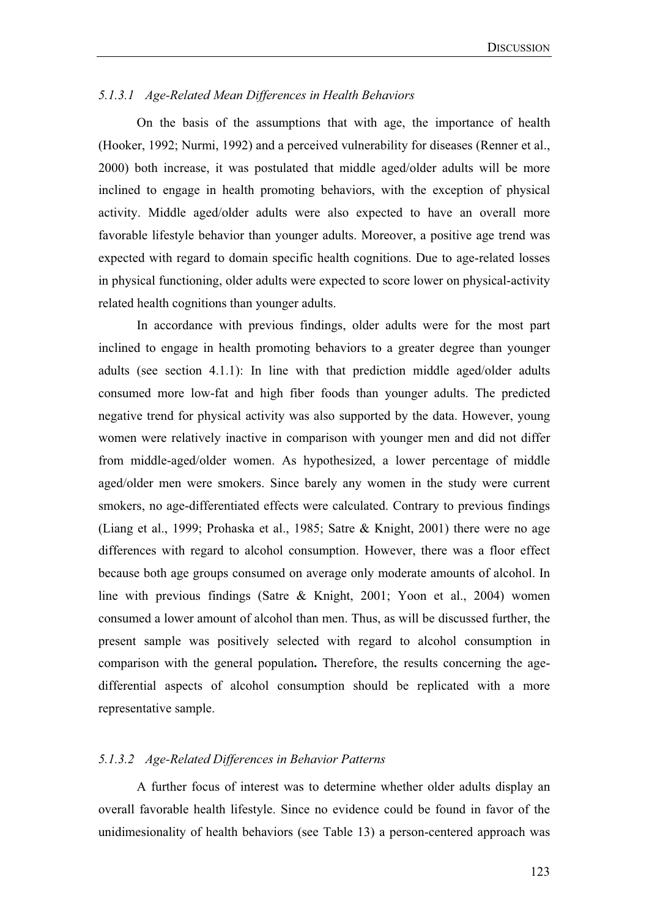### *5.1.3.1 Age-Related Mean Differences in Health Behaviors*

On the basis of the assumptions that with age, the importance of health (Hooker, 1992; Nurmi, 1992) and a perceived vulnerability for diseases (Renner et al., 2000) both increase, it was postulated that middle aged/older adults will be more inclined to engage in health promoting behaviors, with the exception of physical activity. Middle aged/older adults were also expected to have an overall more favorable lifestyle behavior than younger adults. Moreover, a positive age trend was expected with regard to domain specific health cognitions. Due to age-related losses in physical functioning, older adults were expected to score lower on physical-activity related health cognitions than younger adults.

In accordance with previous findings, older adults were for the most part inclined to engage in health promoting behaviors to a greater degree than younger adults (see section 4.1.1): In line with that prediction middle aged/older adults consumed more low-fat and high fiber foods than younger adults. The predicted negative trend for physical activity was also supported by the data. However, young women were relatively inactive in comparison with younger men and did not differ from middle-aged/older women. As hypothesized, a lower percentage of middle aged/older men were smokers. Since barely any women in the study were current smokers, no age-differentiated effects were calculated. Contrary to previous findings (Liang et al., 1999; Prohaska et al., 1985; Satre & Knight, 2001) there were no age differences with regard to alcohol consumption. However, there was a floor effect because both age groups consumed on average only moderate amounts of alcohol. In line with previous findings (Satre & Knight, 2001; Yoon et al., 2004) women consumed a lower amount of alcohol than men. Thus, as will be discussed further, the present sample was positively selected with regard to alcohol consumption in comparison with the general population**.** Therefore, the results concerning the agedifferential aspects of alcohol consumption should be replicated with a more representative sample.

#### *5.1.3.2 Age-Related Differences in Behavior Patterns*

A further focus of interest was to determine whether older adults display an overall favorable health lifestyle. Since no evidence could be found in favor of the unidimesionality of health behaviors (see Table 13) a person-centered approach was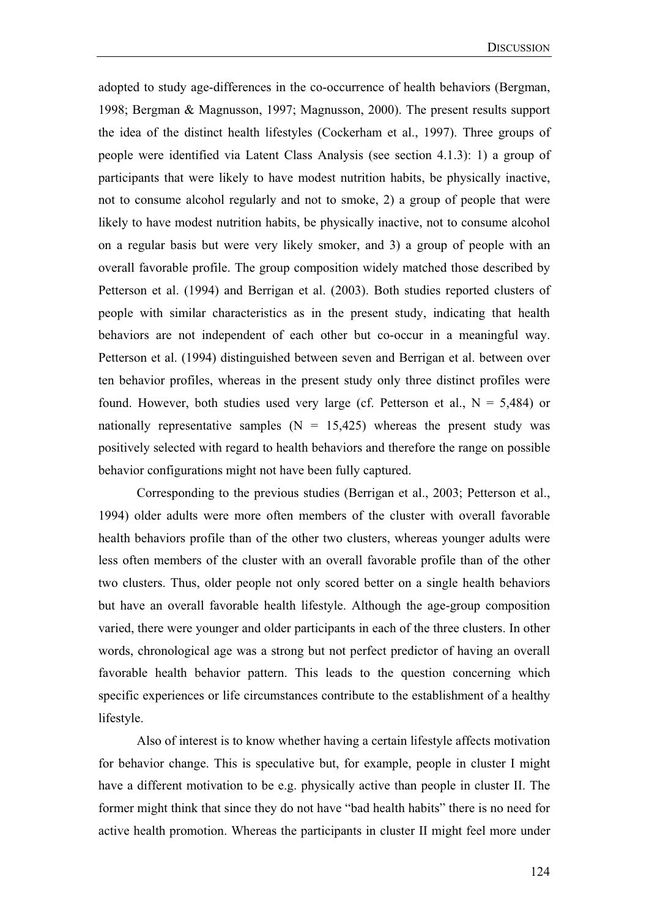adopted to study age-differences in the co-occurrence of health behaviors (Bergman, 1998; Bergman & Magnusson, 1997; Magnusson, 2000). The present results support the idea of the distinct health lifestyles (Cockerham et al., 1997). Three groups of people were identified via Latent Class Analysis (see section 4.1.3): 1) a group of participants that were likely to have modest nutrition habits, be physically inactive, not to consume alcohol regularly and not to smoke, 2) a group of people that were likely to have modest nutrition habits, be physically inactive, not to consume alcohol on a regular basis but were very likely smoker, and 3) a group of people with an overall favorable profile. The group composition widely matched those described by Petterson et al. (1994) and Berrigan et al. (2003). Both studies reported clusters of people with similar characteristics as in the present study, indicating that health behaviors are not independent of each other but co-occur in a meaningful way. Petterson et al. (1994) distinguished between seven and Berrigan et al. between over ten behavior profiles, whereas in the present study only three distinct profiles were found. However, both studies used very large (cf. Petterson et al.,  $N = 5,484$ ) or nationally representative samples  $(N = 15,425)$  whereas the present study was positively selected with regard to health behaviors and therefore the range on possible behavior configurations might not have been fully captured.

Corresponding to the previous studies (Berrigan et al., 2003; Petterson et al., 1994) older adults were more often members of the cluster with overall favorable health behaviors profile than of the other two clusters, whereas younger adults were less often members of the cluster with an overall favorable profile than of the other two clusters. Thus, older people not only scored better on a single health behaviors but have an overall favorable health lifestyle. Although the age-group composition varied, there were younger and older participants in each of the three clusters. In other words, chronological age was a strong but not perfect predictor of having an overall favorable health behavior pattern. This leads to the question concerning which specific experiences or life circumstances contribute to the establishment of a healthy lifestyle.

Also of interest is to know whether having a certain lifestyle affects motivation for behavior change. This is speculative but, for example, people in cluster I might have a different motivation to be e.g. physically active than people in cluster II. The former might think that since they do not have "bad health habits" there is no need for active health promotion. Whereas the participants in cluster II might feel more under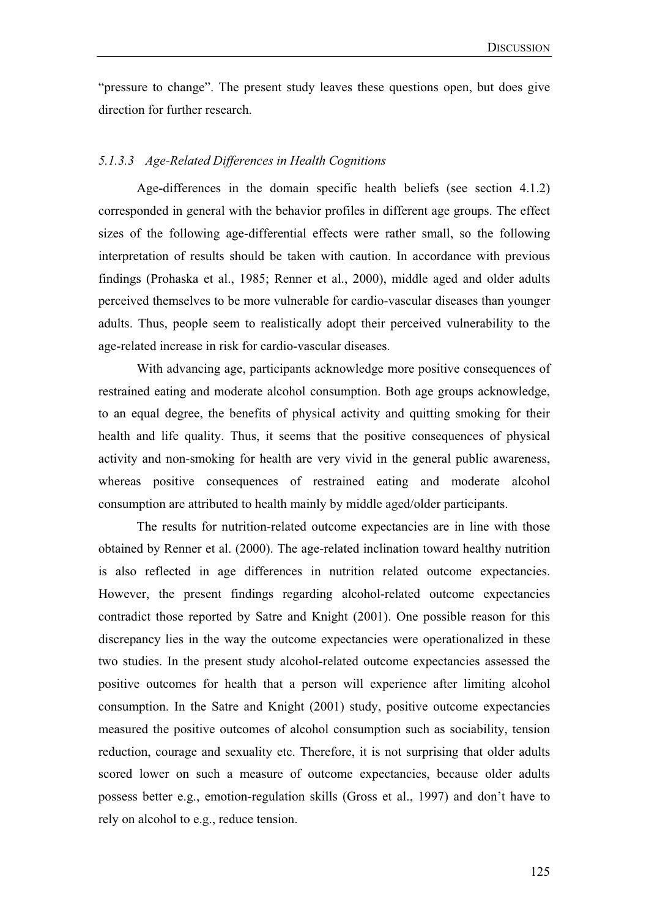"pressure to change". The present study leaves these questions open, but does give direction for further research.

#### *5.1.3.3 Age-Related Differences in Health Cognitions*

Age-differences in the domain specific health beliefs (see section 4.1.2) corresponded in general with the behavior profiles in different age groups. The effect sizes of the following age-differential effects were rather small, so the following interpretation of results should be taken with caution. In accordance with previous findings (Prohaska et al., 1985; Renner et al., 2000), middle aged and older adults perceived themselves to be more vulnerable for cardio-vascular diseases than younger adults. Thus, people seem to realistically adopt their perceived vulnerability to the age-related increase in risk for cardio-vascular diseases.

With advancing age, participants acknowledge more positive consequences of restrained eating and moderate alcohol consumption. Both age groups acknowledge, to an equal degree, the benefits of physical activity and quitting smoking for their health and life quality. Thus, it seems that the positive consequences of physical activity and non-smoking for health are very vivid in the general public awareness, whereas positive consequences of restrained eating and moderate alcohol consumption are attributed to health mainly by middle aged/older participants.

The results for nutrition-related outcome expectancies are in line with those obtained by Renner et al. (2000). The age-related inclination toward healthy nutrition is also reflected in age differences in nutrition related outcome expectancies. However, the present findings regarding alcohol-related outcome expectancies contradict those reported by Satre and Knight (2001). One possible reason for this discrepancy lies in the way the outcome expectancies were operationalized in these two studies. In the present study alcohol-related outcome expectancies assessed the positive outcomes for health that a person will experience after limiting alcohol consumption. In the Satre and Knight (2001) study, positive outcome expectancies measured the positive outcomes of alcohol consumption such as sociability, tension reduction, courage and sexuality etc. Therefore, it is not surprising that older adults scored lower on such a measure of outcome expectancies, because older adults possess better e.g., emotion-regulation skills (Gross et al., 1997) and don't have to rely on alcohol to e.g., reduce tension.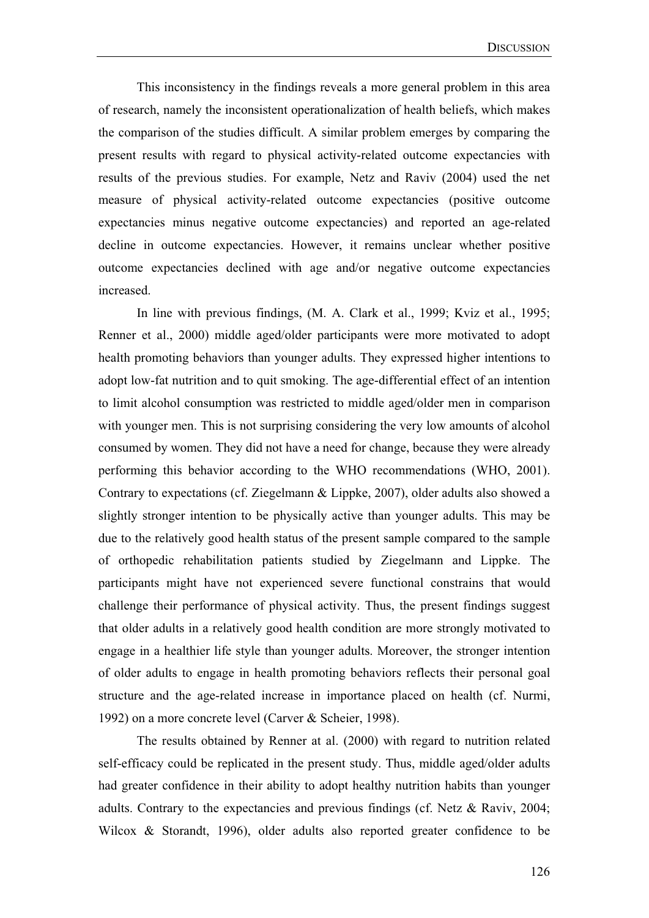This inconsistency in the findings reveals a more general problem in this area of research, namely the inconsistent operationalization of health beliefs, which makes the comparison of the studies difficult. A similar problem emerges by comparing the present results with regard to physical activity-related outcome expectancies with results of the previous studies. For example, Netz and Raviv (2004) used the net measure of physical activity-related outcome expectancies (positive outcome expectancies minus negative outcome expectancies) and reported an age-related decline in outcome expectancies. However, it remains unclear whether positive outcome expectancies declined with age and/or negative outcome expectancies increased.

In line with previous findings, (M. A. Clark et al., 1999; Kviz et al., 1995; Renner et al., 2000) middle aged/older participants were more motivated to adopt health promoting behaviors than younger adults. They expressed higher intentions to adopt low-fat nutrition and to quit smoking. The age-differential effect of an intention to limit alcohol consumption was restricted to middle aged/older men in comparison with younger men. This is not surprising considering the very low amounts of alcohol consumed by women. They did not have a need for change, because they were already performing this behavior according to the WHO recommendations (WHO, 2001). Contrary to expectations (cf. Ziegelmann & Lippke, 2007), older adults also showed a slightly stronger intention to be physically active than younger adults. This may be due to the relatively good health status of the present sample compared to the sample of orthopedic rehabilitation patients studied by Ziegelmann and Lippke. The participants might have not experienced severe functional constrains that would challenge their performance of physical activity. Thus, the present findings suggest that older adults in a relatively good health condition are more strongly motivated to engage in a healthier life style than younger adults. Moreover, the stronger intention of older adults to engage in health promoting behaviors reflects their personal goal structure and the age-related increase in importance placed on health (cf. Nurmi, 1992) on a more concrete level (Carver & Scheier, 1998).

 The results obtained by Renner at al. (2000) with regard to nutrition related self-efficacy could be replicated in the present study. Thus, middle aged/older adults had greater confidence in their ability to adopt healthy nutrition habits than younger adults. Contrary to the expectancies and previous findings (cf. Netz & Raviv, 2004; Wilcox & Storandt, 1996), older adults also reported greater confidence to be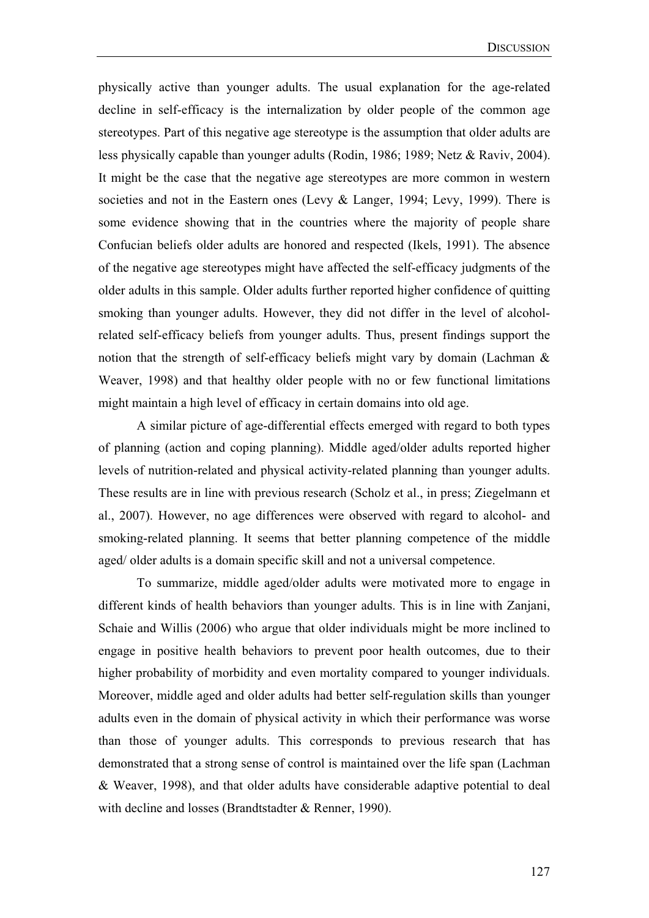physically active than younger adults. The usual explanation for the age-related decline in self-efficacy is the internalization by older people of the common age stereotypes. Part of this negative age stereotype is the assumption that older adults are less physically capable than younger adults (Rodin, 1986; 1989; Netz & Raviv, 2004). It might be the case that the negative age stereotypes are more common in western societies and not in the Eastern ones (Levy & Langer, 1994; Levy, 1999). There is some evidence showing that in the countries where the majority of people share Confucian beliefs older adults are honored and respected (Ikels, 1991). The absence of the negative age stereotypes might have affected the self-efficacy judgments of the older adults in this sample. Older adults further reported higher confidence of quitting smoking than younger adults. However, they did not differ in the level of alcoholrelated self-efficacy beliefs from younger adults. Thus, present findings support the notion that the strength of self-efficacy beliefs might vary by domain (Lachman & Weaver, 1998) and that healthy older people with no or few functional limitations might maintain a high level of efficacy in certain domains into old age.

A similar picture of age-differential effects emerged with regard to both types of planning (action and coping planning). Middle aged/older adults reported higher levels of nutrition-related and physical activity-related planning than younger adults. These results are in line with previous research (Scholz et al., in press; Ziegelmann et al., 2007). However, no age differences were observed with regard to alcohol- and smoking-related planning. It seems that better planning competence of the middle aged/ older adults is a domain specific skill and not a universal competence.

To summarize, middle aged/older adults were motivated more to engage in different kinds of health behaviors than younger adults. This is in line with Zanjani, Schaie and Willis (2006) who argue that older individuals might be more inclined to engage in positive health behaviors to prevent poor health outcomes, due to their higher probability of morbidity and even mortality compared to younger individuals. Moreover, middle aged and older adults had better self-regulation skills than younger adults even in the domain of physical activity in which their performance was worse than those of younger adults. This corresponds to previous research that has demonstrated that a strong sense of control is maintained over the life span (Lachman & Weaver, 1998), and that older adults have considerable adaptive potential to deal with decline and losses (Brandtstadter & Renner, 1990).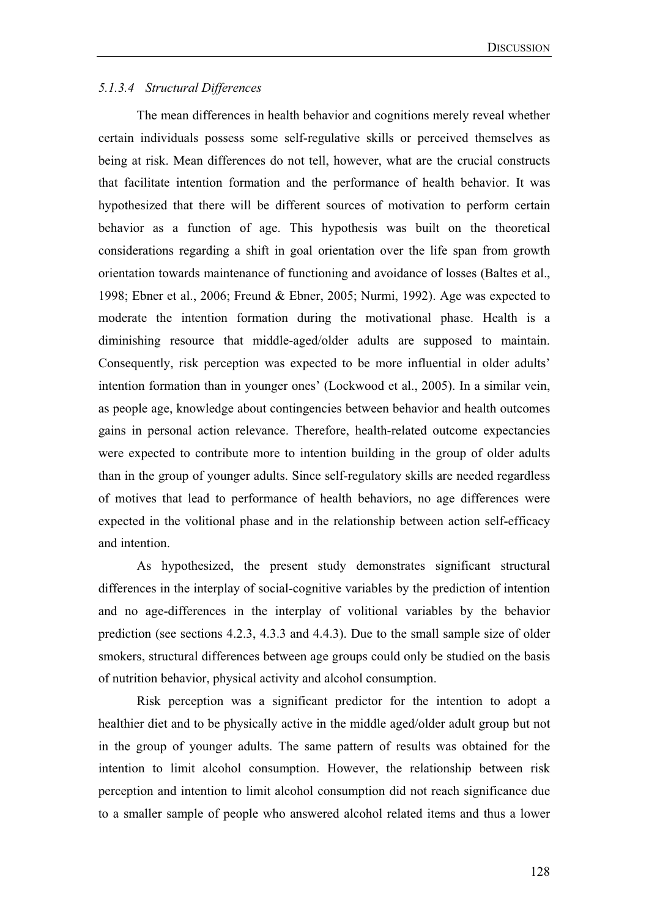## *5.1.3.4 Structural Differences*

The mean differences in health behavior and cognitions merely reveal whether certain individuals possess some self-regulative skills or perceived themselves as being at risk. Mean differences do not tell, however, what are the crucial constructs that facilitate intention formation and the performance of health behavior. It was hypothesized that there will be different sources of motivation to perform certain behavior as a function of age. This hypothesis was built on the theoretical considerations regarding a shift in goal orientation over the life span from growth orientation towards maintenance of functioning and avoidance of losses (Baltes et al., 1998; Ebner et al., 2006; Freund & Ebner, 2005; Nurmi, 1992). Age was expected to moderate the intention formation during the motivational phase. Health is a diminishing resource that middle-aged/older adults are supposed to maintain. Consequently, risk perception was expected to be more influential in older adults' intention formation than in younger ones' (Lockwood et al., 2005). In a similar vein, as people age, knowledge about contingencies between behavior and health outcomes gains in personal action relevance. Therefore, health-related outcome expectancies were expected to contribute more to intention building in the group of older adults than in the group of younger adults. Since self-regulatory skills are needed regardless of motives that lead to performance of health behaviors, no age differences were expected in the volitional phase and in the relationship between action self-efficacy and intention.

As hypothesized, the present study demonstrates significant structural differences in the interplay of social-cognitive variables by the prediction of intention and no age-differences in the interplay of volitional variables by the behavior prediction (see sections 4.2.3, 4.3.3 and 4.4.3). Due to the small sample size of older smokers, structural differences between age groups could only be studied on the basis of nutrition behavior, physical activity and alcohol consumption.

Risk perception was a significant predictor for the intention to adopt a healthier diet and to be physically active in the middle aged/older adult group but not in the group of younger adults. The same pattern of results was obtained for the intention to limit alcohol consumption. However, the relationship between risk perception and intention to limit alcohol consumption did not reach significance due to a smaller sample of people who answered alcohol related items and thus a lower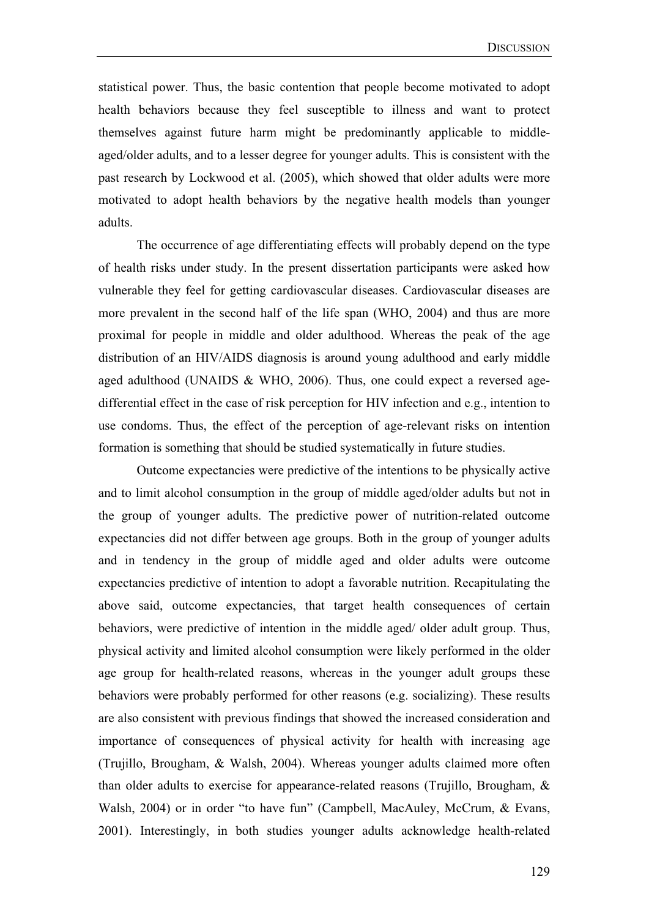statistical power. Thus, the basic contention that people become motivated to adopt health behaviors because they feel susceptible to illness and want to protect themselves against future harm might be predominantly applicable to middleaged/older adults, and to a lesser degree for younger adults. This is consistent with the past research by Lockwood et al. (2005), which showed that older adults were more motivated to adopt health behaviors by the negative health models than younger adults.

The occurrence of age differentiating effects will probably depend on the type of health risks under study. In the present dissertation participants were asked how vulnerable they feel for getting cardiovascular diseases. Cardiovascular diseases are more prevalent in the second half of the life span (WHO, 2004) and thus are more proximal for people in middle and older adulthood. Whereas the peak of the age distribution of an HIV/AIDS diagnosis is around young adulthood and early middle aged adulthood (UNAIDS & WHO, 2006). Thus, one could expect a reversed agedifferential effect in the case of risk perception for HIV infection and e.g., intention to use condoms. Thus, the effect of the perception of age-relevant risks on intention formation is something that should be studied systematically in future studies.

Outcome expectancies were predictive of the intentions to be physically active and to limit alcohol consumption in the group of middle aged/older adults but not in the group of younger adults. The predictive power of nutrition-related outcome expectancies did not differ between age groups. Both in the group of younger adults and in tendency in the group of middle aged and older adults were outcome expectancies predictive of intention to adopt a favorable nutrition. Recapitulating the above said, outcome expectancies, that target health consequences of certain behaviors, were predictive of intention in the middle aged/ older adult group. Thus, physical activity and limited alcohol consumption were likely performed in the older age group for health-related reasons, whereas in the younger adult groups these behaviors were probably performed for other reasons (e.g. socializing). These results are also consistent with previous findings that showed the increased consideration and importance of consequences of physical activity for health with increasing age (Trujillo, Brougham, & Walsh, 2004). Whereas younger adults claimed more often than older adults to exercise for appearance-related reasons (Trujillo, Brougham, & Walsh, 2004) or in order "to have fun" (Campbell, MacAuley, McCrum, & Evans, 2001). Interestingly, in both studies younger adults acknowledge health-related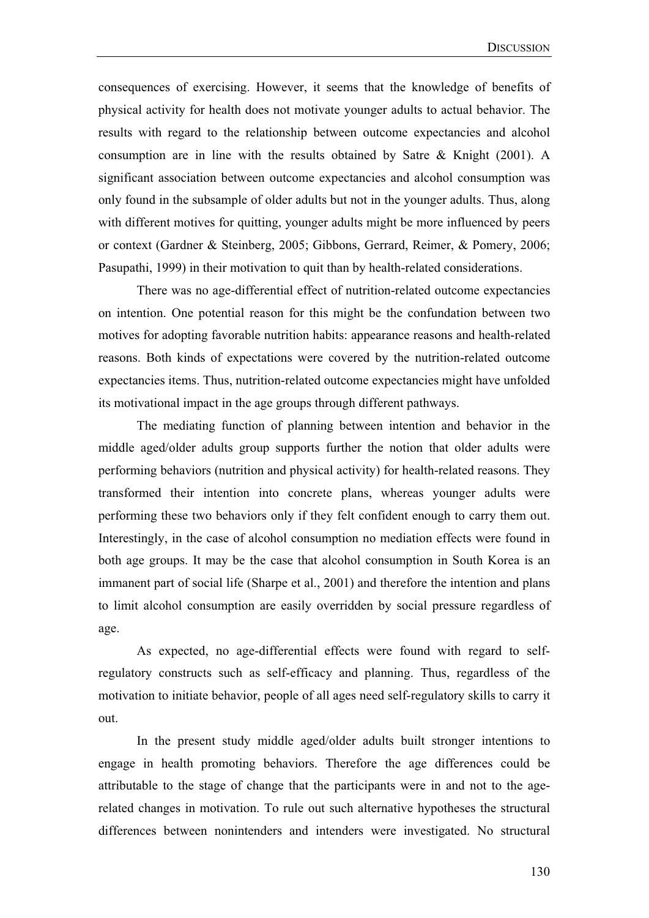consequences of exercising. However, it seems that the knowledge of benefits of physical activity for health does not motivate younger adults to actual behavior. The results with regard to the relationship between outcome expectancies and alcohol consumption are in line with the results obtained by Satre & Knight (2001). A significant association between outcome expectancies and alcohol consumption was only found in the subsample of older adults but not in the younger adults. Thus, along with different motives for quitting, younger adults might be more influenced by peers or context (Gardner & Steinberg, 2005; Gibbons, Gerrard, Reimer, & Pomery, 2006; Pasupathi, 1999) in their motivation to quit than by health-related considerations.

There was no age-differential effect of nutrition-related outcome expectancies on intention. One potential reason for this might be the confundation between two motives for adopting favorable nutrition habits: appearance reasons and health-related reasons. Both kinds of expectations were covered by the nutrition-related outcome expectancies items. Thus, nutrition-related outcome expectancies might have unfolded its motivational impact in the age groups through different pathways.

The mediating function of planning between intention and behavior in the middle aged/older adults group supports further the notion that older adults were performing behaviors (nutrition and physical activity) for health-related reasons. They transformed their intention into concrete plans, whereas younger adults were performing these two behaviors only if they felt confident enough to carry them out. Interestingly, in the case of alcohol consumption no mediation effects were found in both age groups. It may be the case that alcohol consumption in South Korea is an immanent part of social life (Sharpe et al., 2001) and therefore the intention and plans to limit alcohol consumption are easily overridden by social pressure regardless of age.

As expected, no age-differential effects were found with regard to selfregulatory constructs such as self-efficacy and planning. Thus, regardless of the motivation to initiate behavior, people of all ages need self-regulatory skills to carry it out.

In the present study middle aged/older adults built stronger intentions to engage in health promoting behaviors. Therefore the age differences could be attributable to the stage of change that the participants were in and not to the agerelated changes in motivation. To rule out such alternative hypotheses the structural differences between nonintenders and intenders were investigated. No structural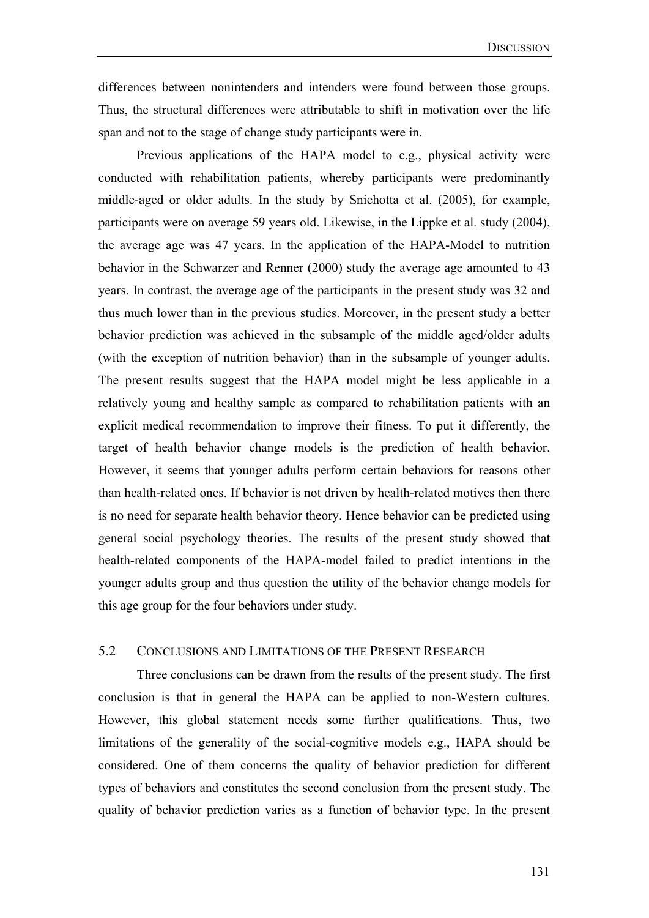differences between nonintenders and intenders were found between those groups. Thus, the structural differences were attributable to shift in motivation over the life span and not to the stage of change study participants were in.

Previous applications of the HAPA model to e.g., physical activity were conducted with rehabilitation patients, whereby participants were predominantly middle-aged or older adults. In the study by Sniehotta et al. (2005), for example, participants were on average 59 years old. Likewise, in the Lippke et al. study (2004), the average age was 47 years. In the application of the HAPA-Model to nutrition behavior in the Schwarzer and Renner (2000) study the average age amounted to 43 years. In contrast, the average age of the participants in the present study was 32 and thus much lower than in the previous studies. Moreover, in the present study a better behavior prediction was achieved in the subsample of the middle aged/older adults (with the exception of nutrition behavior) than in the subsample of younger adults. The present results suggest that the HAPA model might be less applicable in a relatively young and healthy sample as compared to rehabilitation patients with an explicit medical recommendation to improve their fitness. To put it differently, the target of health behavior change models is the prediction of health behavior. However, it seems that younger adults perform certain behaviors for reasons other than health-related ones. If behavior is not driven by health-related motives then there is no need for separate health behavior theory. Hence behavior can be predicted using general social psychology theories. The results of the present study showed that health-related components of the HAPA-model failed to predict intentions in the younger adults group and thus question the utility of the behavior change models for this age group for the four behaviors under study.

## 5.2 CONCLUSIONS AND LIMITATIONS OF THE PRESENT RESEARCH

Three conclusions can be drawn from the results of the present study. The first conclusion is that in general the HAPA can be applied to non-Western cultures. However, this global statement needs some further qualifications. Thus, two limitations of the generality of the social-cognitive models e.g., HAPA should be considered. One of them concerns the quality of behavior prediction for different types of behaviors and constitutes the second conclusion from the present study. The quality of behavior prediction varies as a function of behavior type. In the present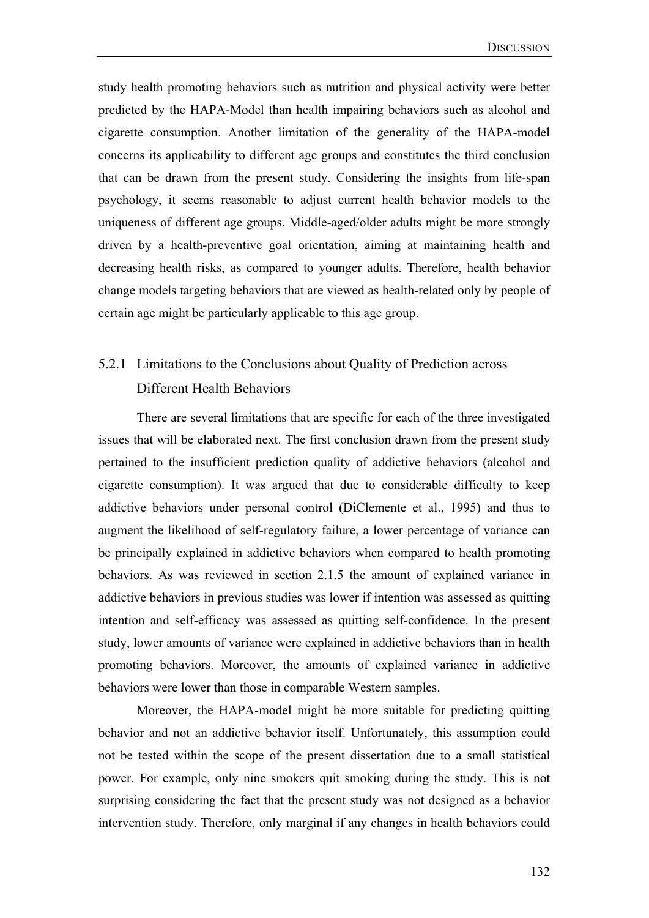study health promoting behaviors such as nutrition and physical activity were better predicted by the HAPA-Model than health impairing behaviors such as alcohol and cigarette consumption. Another limitation of the generality of the HAPA-model concerns its applicability to different age groups and constitutes the third conclusion that can be drawn from the present study. Considering the insights from life-span psychology, it seems reasonable to adjust current health behavior models to the uniqueness of different age groups. Middle-aged/older adults might be more strongly driven by a health-preventive goal orientation, aiming at maintaining health and decreasing health risks, as compared to younger adults. Therefore, health behavior change models targeting behaviors that are viewed as health-related only by people of certain age might be particularly applicable to this age group.

# 5.2.1 Limitations to the Conclusions about Quality of Prediction across Different Health Behaviors

There are several limitations that are specific for each of the three investigated issues that will be elaborated next. The first conclusion drawn from the present study pertained to the insufficient prediction quality of addictive behaviors (alcohol and cigarette consumption). It was argued that due to considerable difficulty to keep addictive behaviors under personal control (DiClemente et al., 1995) and thus to augment the likelihood of self-regulatory failure, a lower percentage of variance can be principally explained in addictive behaviors when compared to health promoting behaviors. As was reviewed in section 2.1.5 the amount of explained variance in addictive behaviors in previous studies was lower if intention was assessed as quitting intention and self-efficacy was assessed as quitting self-confidence. In the present study, lower amounts of variance were explained in addictive behaviors than in health promoting behaviors. Moreover, the amounts of explained variance in addictive behaviors were lower than those in comparable Western samples.

Moreover, the HAPA-model might be more suitable for predicting quitting behavior and not an addictive behavior itself. Unfortunately, this assumption could not be tested within the scope of the present dissertation due to a small statistical power. For example, only nine smokers quit smoking during the study. This is not surprising considering the fact that the present study was not designed as a behavior intervention study. Therefore, only marginal if any changes in health behaviors could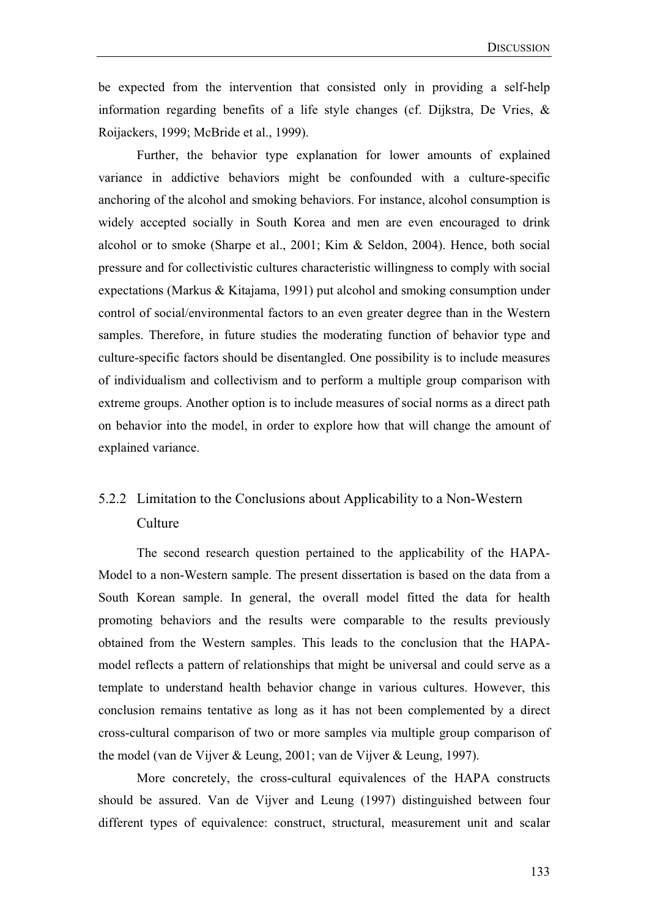be expected from the intervention that consisted only in providing a self-help information regarding benefits of a life style changes (cf. Dijkstra, De Vries, & Roijackers, 1999; McBride et al., 1999).

Further, the behavior type explanation for lower amounts of explained variance in addictive behaviors might be confounded with a culture-specific anchoring of the alcohol and smoking behaviors. For instance, alcohol consumption is widely accepted socially in South Korea and men are even encouraged to drink alcohol or to smoke (Sharpe et al., 2001; Kim & Seldon, 2004). Hence, both social pressure and for collectivistic cultures characteristic willingness to comply with social expectations (Markus & Kitajama, 1991) put alcohol and smoking consumption under control of social/environmental factors to an even greater degree than in the Western samples. Therefore, in future studies the moderating function of behavior type and culture-specific factors should be disentangled. One possibility is to include measures of individualism and collectivism and to perform a multiple group comparison with extreme groups. Another option is to include measures of social norms as a direct path on behavior into the model, in order to explore how that will change the amount of explained variance.

# 5.2.2 Limitation to the Conclusions about Applicability to a Non-Western Culture

The second research question pertained to the applicability of the HAPA-Model to a non-Western sample. The present dissertation is based on the data from a South Korean sample. In general, the overall model fitted the data for health promoting behaviors and the results were comparable to the results previously obtained from the Western samples. This leads to the conclusion that the HAPAmodel reflects a pattern of relationships that might be universal and could serve as a template to understand health behavior change in various cultures. However, this conclusion remains tentative as long as it has not been complemented by a direct cross-cultural comparison of two or more samples via multiple group comparison of the model (van de Vijver & Leung, 2001; van de Vijver & Leung, 1997).

More concretely, the cross-cultural equivalences of the HAPA constructs should be assured. Van de Vijver and Leung (1997) distinguished between four different types of equivalence: construct, structural, measurement unit and scalar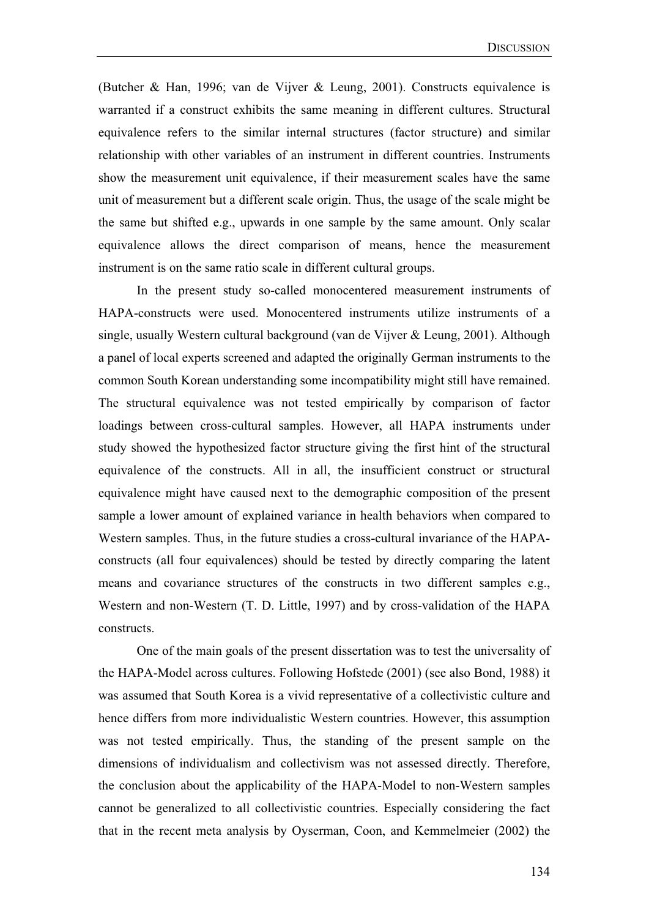(Butcher & Han, 1996; van de Vijver & Leung, 2001). Constructs equivalence is warranted if a construct exhibits the same meaning in different cultures. Structural equivalence refers to the similar internal structures (factor structure) and similar relationship with other variables of an instrument in different countries. Instruments show the measurement unit equivalence, if their measurement scales have the same unit of measurement but a different scale origin. Thus, the usage of the scale might be the same but shifted e.g., upwards in one sample by the same amount. Only scalar equivalence allows the direct comparison of means, hence the measurement instrument is on the same ratio scale in different cultural groups.

In the present study so-called monocentered measurement instruments of HAPA-constructs were used. Monocentered instruments utilize instruments of a single, usually Western cultural background (van de Vijver & Leung, 2001). Although a panel of local experts screened and adapted the originally German instruments to the common South Korean understanding some incompatibility might still have remained. The structural equivalence was not tested empirically by comparison of factor loadings between cross-cultural samples. However, all HAPA instruments under study showed the hypothesized factor structure giving the first hint of the structural equivalence of the constructs. All in all, the insufficient construct or structural equivalence might have caused next to the demographic composition of the present sample a lower amount of explained variance in health behaviors when compared to Western samples. Thus, in the future studies a cross-cultural invariance of the HAPAconstructs (all four equivalences) should be tested by directly comparing the latent means and covariance structures of the constructs in two different samples e.g., Western and non-Western (T. D. Little, 1997) and by cross-validation of the HAPA constructs.

One of the main goals of the present dissertation was to test the universality of the HAPA-Model across cultures. Following Hofstede (2001) (see also Bond, 1988) it was assumed that South Korea is a vivid representative of a collectivistic culture and hence differs from more individualistic Western countries. However, this assumption was not tested empirically. Thus, the standing of the present sample on the dimensions of individualism and collectivism was not assessed directly. Therefore, the conclusion about the applicability of the HAPA-Model to non-Western samples cannot be generalized to all collectivistic countries. Especially considering the fact that in the recent meta analysis by Oyserman, Coon, and Kemmelmeier (2002) the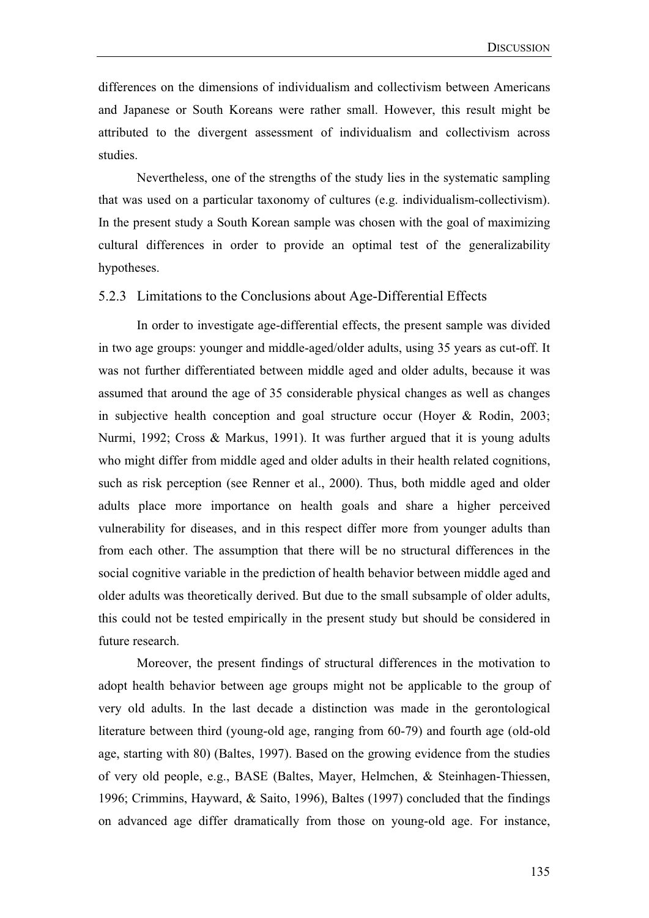differences on the dimensions of individualism and collectivism between Americans and Japanese or South Koreans were rather small. However, this result might be attributed to the divergent assessment of individualism and collectivism across studies.

Nevertheless, one of the strengths of the study lies in the systematic sampling that was used on a particular taxonomy of cultures (e.g. individualism-collectivism). In the present study a South Korean sample was chosen with the goal of maximizing cultural differences in order to provide an optimal test of the generalizability hypotheses.

#### 5.2.3 Limitations to the Conclusions about Age-Differential Effects

In order to investigate age-differential effects, the present sample was divided in two age groups: younger and middle-aged/older adults, using 35 years as cut-off. It was not further differentiated between middle aged and older adults, because it was assumed that around the age of 35 considerable physical changes as well as changes in subjective health conception and goal structure occur (Hoyer & Rodin, 2003; Nurmi, 1992; Cross & Markus, 1991). It was further argued that it is young adults who might differ from middle aged and older adults in their health related cognitions, such as risk perception (see Renner et al., 2000). Thus, both middle aged and older adults place more importance on health goals and share a higher perceived vulnerability for diseases, and in this respect differ more from younger adults than from each other. The assumption that there will be no structural differences in the social cognitive variable in the prediction of health behavior between middle aged and older adults was theoretically derived. But due to the small subsample of older adults, this could not be tested empirically in the present study but should be considered in future research.

Moreover, the present findings of structural differences in the motivation to adopt health behavior between age groups might not be applicable to the group of very old adults. In the last decade a distinction was made in the gerontological literature between third (young-old age, ranging from 60-79) and fourth age (old-old age, starting with 80) (Baltes, 1997). Based on the growing evidence from the studies of very old people, e.g., BASE (Baltes, Mayer, Helmchen, & Steinhagen-Thiessen, 1996; Crimmins, Hayward, & Saito, 1996), Baltes (1997) concluded that the findings on advanced age differ dramatically from those on young-old age. For instance,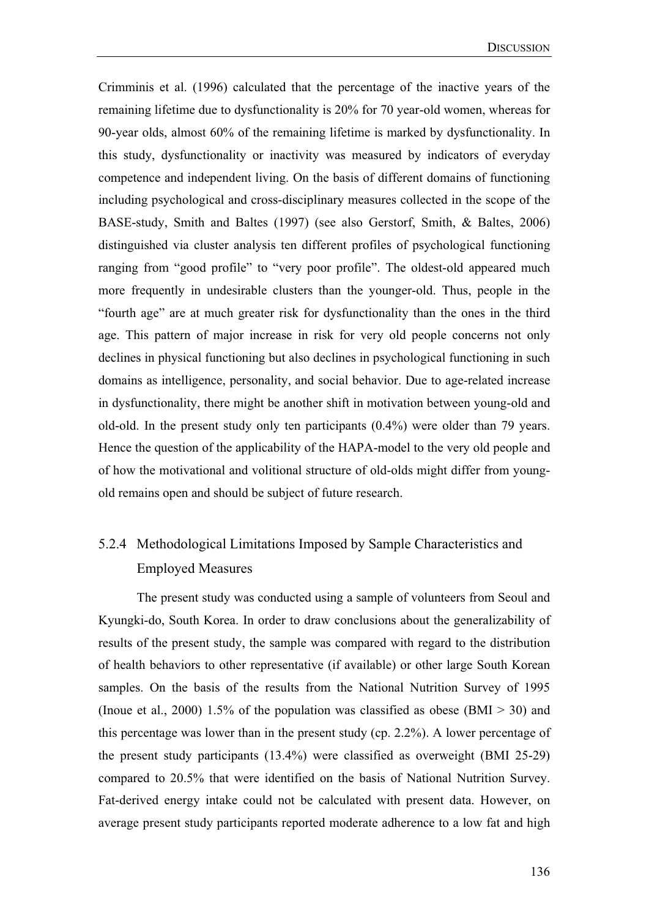Crimminis et al. (1996) calculated that the percentage of the inactive years of the remaining lifetime due to dysfunctionality is 20% for 70 year-old women, whereas for 90-year olds, almost 60% of the remaining lifetime is marked by dysfunctionality. In this study, dysfunctionality or inactivity was measured by indicators of everyday competence and independent living. On the basis of different domains of functioning including psychological and cross-disciplinary measures collected in the scope of the BASE-study, Smith and Baltes (1997) (see also Gerstorf, Smith, & Baltes, 2006) distinguished via cluster analysis ten different profiles of psychological functioning ranging from "good profile" to "very poor profile". The oldest-old appeared much more frequently in undesirable clusters than the younger-old. Thus, people in the "fourth age" are at much greater risk for dysfunctionality than the ones in the third age. This pattern of major increase in risk for very old people concerns not only declines in physical functioning but also declines in psychological functioning in such domains as intelligence, personality, and social behavior. Due to age-related increase in dysfunctionality, there might be another shift in motivation between young-old and old-old. In the present study only ten participants (0.4%) were older than 79 years. Hence the question of the applicability of the HAPA-model to the very old people and of how the motivational and volitional structure of old-olds might differ from youngold remains open and should be subject of future research.

# 5.2.4 Methodological Limitations Imposed by Sample Characteristics and Employed Measures

The present study was conducted using a sample of volunteers from Seoul and Kyungki-do, South Korea. In order to draw conclusions about the generalizability of results of the present study, the sample was compared with regard to the distribution of health behaviors to other representative (if available) or other large South Korean samples. On the basis of the results from the National Nutrition Survey of 1995 (Inoue et al., 2000) 1.5% of the population was classified as obese (BMI  $>$  30) and this percentage was lower than in the present study (cp. 2.2%). A lower percentage of the present study participants (13.4%) were classified as overweight (BMI 25-29) compared to 20.5% that were identified on the basis of National Nutrition Survey. Fat-derived energy intake could not be calculated with present data. However, on average present study participants reported moderate adherence to a low fat and high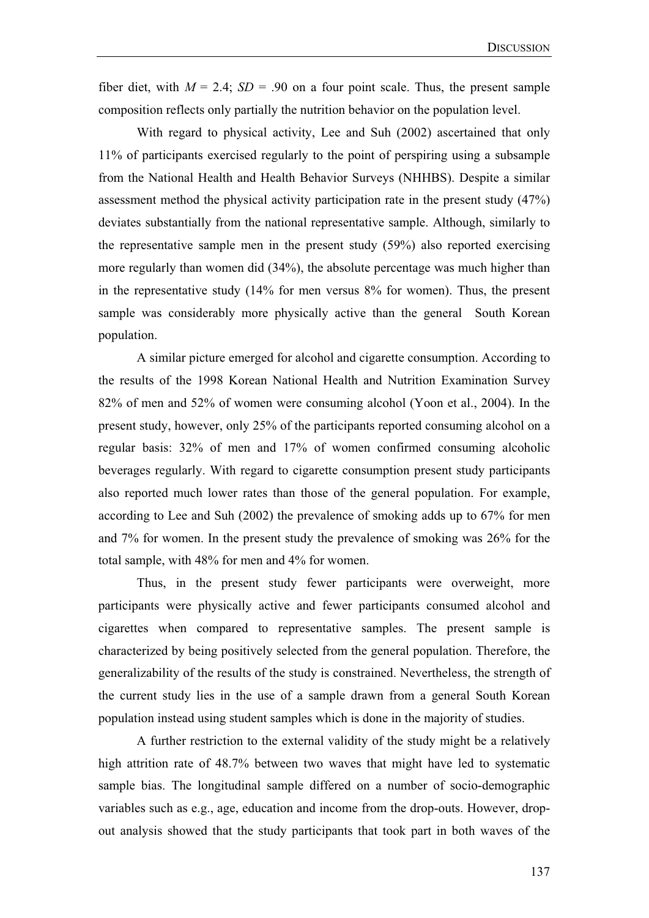fiber diet, with  $M = 2.4$ ;  $SD = .90$  on a four point scale. Thus, the present sample composition reflects only partially the nutrition behavior on the population level.

With regard to physical activity, Lee and Suh (2002) ascertained that only 11% of participants exercised regularly to the point of perspiring using a subsample from the National Health and Health Behavior Surveys (NHHBS). Despite a similar assessment method the physical activity participation rate in the present study (47%) deviates substantially from the national representative sample. Although, similarly to the representative sample men in the present study (59%) also reported exercising more regularly than women did (34%), the absolute percentage was much higher than in the representative study (14% for men versus 8% for women). Thus, the present sample was considerably more physically active than the general South Korean population.

A similar picture emerged for alcohol and cigarette consumption. According to the results of the 1998 Korean National Health and Nutrition Examination Survey 82% of men and 52% of women were consuming alcohol (Yoon et al., 2004). In the present study, however, only 25% of the participants reported consuming alcohol on a regular basis: 32% of men and 17% of women confirmed consuming alcoholic beverages regularly. With regard to cigarette consumption present study participants also reported much lower rates than those of the general population. For example, according to Lee and Suh (2002) the prevalence of smoking adds up to 67% for men and 7% for women. In the present study the prevalence of smoking was 26% for the total sample, with 48% for men and 4% for women.

 Thus, in the present study fewer participants were overweight, more participants were physically active and fewer participants consumed alcohol and cigarettes when compared to representative samples. The present sample is characterized by being positively selected from the general population. Therefore, the generalizability of the results of the study is constrained. Nevertheless, the strength of the current study lies in the use of a sample drawn from a general South Korean population instead using student samples which is done in the majority of studies.

 A further restriction to the external validity of the study might be a relatively high attrition rate of 48.7% between two waves that might have led to systematic sample bias. The longitudinal sample differed on a number of socio-demographic variables such as e.g., age, education and income from the drop-outs. However, dropout analysis showed that the study participants that took part in both waves of the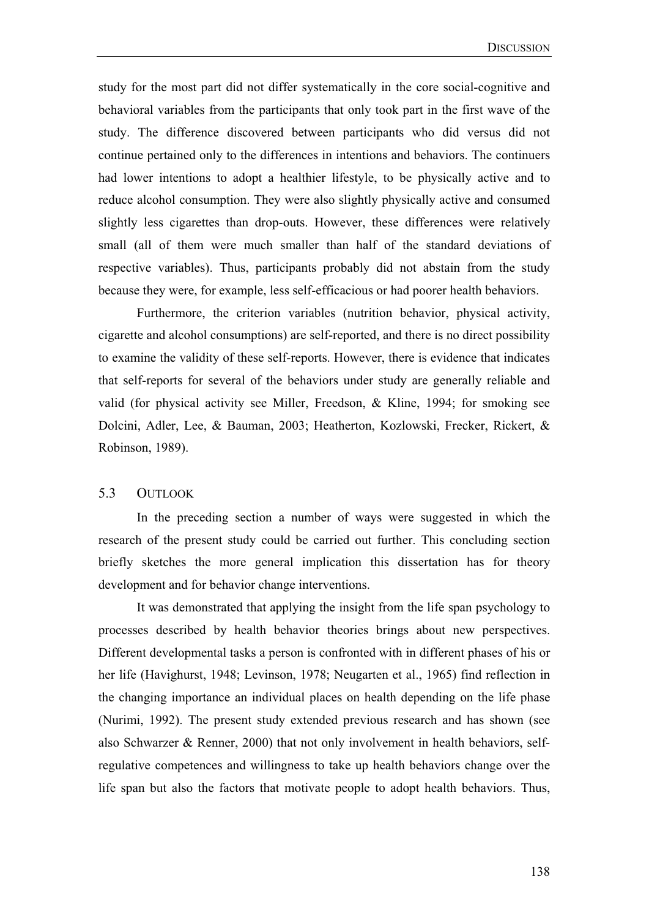study for the most part did not differ systematically in the core social-cognitive and behavioral variables from the participants that only took part in the first wave of the study. The difference discovered between participants who did versus did not continue pertained only to the differences in intentions and behaviors. The continuers had lower intentions to adopt a healthier lifestyle, to be physically active and to reduce alcohol consumption. They were also slightly physically active and consumed slightly less cigarettes than drop-outs. However, these differences were relatively small (all of them were much smaller than half of the standard deviations of respective variables). Thus, participants probably did not abstain from the study because they were, for example, less self-efficacious or had poorer health behaviors.

 Furthermore, the criterion variables (nutrition behavior, physical activity, cigarette and alcohol consumptions) are self-reported, and there is no direct possibility to examine the validity of these self-reports. However, there is evidence that indicates that self-reports for several of the behaviors under study are generally reliable and valid (for physical activity see Miller, Freedson, & Kline, 1994; for smoking see Dolcini, Adler, Lee, & Bauman, 2003; Heatherton, Kozlowski, Frecker, Rickert, & Robinson, 1989).

#### 5.3 OUTLOOK

In the preceding section a number of ways were suggested in which the research of the present study could be carried out further. This concluding section briefly sketches the more general implication this dissertation has for theory development and for behavior change interventions.

It was demonstrated that applying the insight from the life span psychology to processes described by health behavior theories brings about new perspectives. Different developmental tasks a person is confronted with in different phases of his or her life (Havighurst, 1948; Levinson, 1978; Neugarten et al., 1965) find reflection in the changing importance an individual places on health depending on the life phase (Nurimi, 1992). The present study extended previous research and has shown (see also Schwarzer & Renner, 2000) that not only involvement in health behaviors, selfregulative competences and willingness to take up health behaviors change over the life span but also the factors that motivate people to adopt health behaviors. Thus,